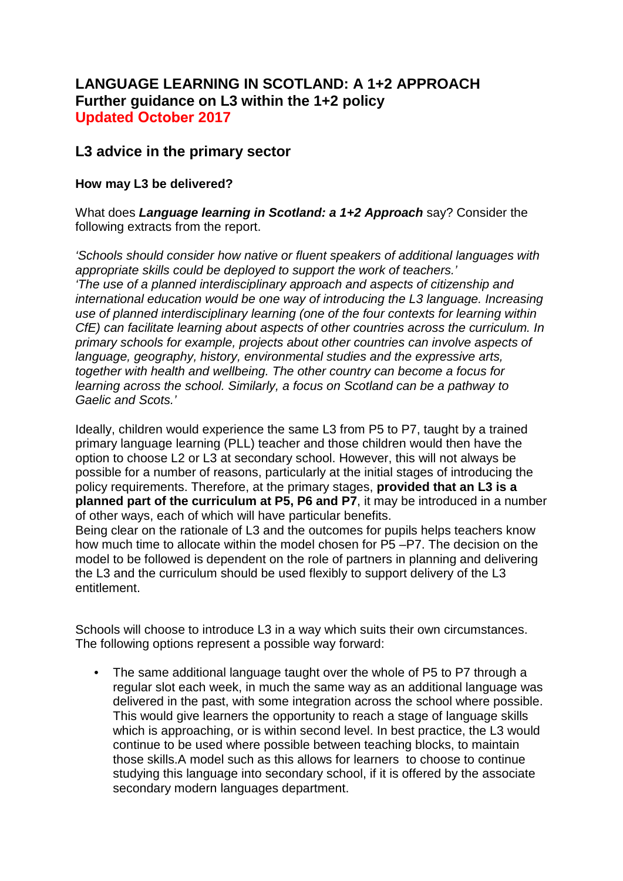# **LANGUAGE LEARNING IN SCOTLAND: A 1+2 APPROACH Further guidance on L3 within the 1+2 policy Updated October 2017**

# **L3 advice in the primary sector**

## **How may L3 be delivered?**

entitlement.

What does *Language learning in Scotland: a 1+2 Approach* say? Consider the following extracts from the report.

*'Schools should consider how native or fluent speakers of additional languages with appropriate skills could be deployed to support the work of teachers.' 'The use of a planned interdisciplinary approach and aspects of citizenship and international education would be one way of introducing the L3 language. Increasing use of planned interdisciplinary learning (one of the four contexts for learning within CfE) can facilitate learning about aspects of other countries across the curriculum. In primary schools for example, projects about other countries can involve aspects of language, geography, history, environmental studies and the expressive arts, together with health and wellbeing. The other country can become a focus for learning across the school. Similarly, a focus on Scotland can be a pathway to Gaelic and Scots.'*

Ideally, children would experience the same L3 from P5 to P7, taught by a trained primary language learning (PLL) teacher and those children would then have the option to choose L2 or L3 at secondary school. However, this will not always be possible for a number of reasons, particularly at the initial stages of introducing the policy requirements. Therefore, at the primary stages, **provided that an L3 is a planned part of the curriculum at P5, P6 and P7**, it may be introduced in a number of other ways, each of which will have particular benefits. Being clear on the rationale of L3 and the outcomes for pupils helps teachers know how much time to allocate within the model chosen for P5 –P7. The decision on the model to be followed is dependent on the role of partners in planning and delivering

Schools will choose to introduce L3 in a way which suits their own circumstances. The following options represent a possible way forward:

the L3 and the curriculum should be used flexibly to support delivery of the L3

• The same additional language taught over the whole of P5 to P7 through a regular slot each week, in much the same way as an additional language was delivered in the past, with some integration across the school where possible. This would give learners the opportunity to reach a stage of language skills which is approaching, or is within second level. In best practice, the L3 would continue to be used where possible between teaching blocks, to maintain those skills.A model such as this allows for learners to choose to continue studying this language into secondary school, if it is offered by the associate secondary modern languages department.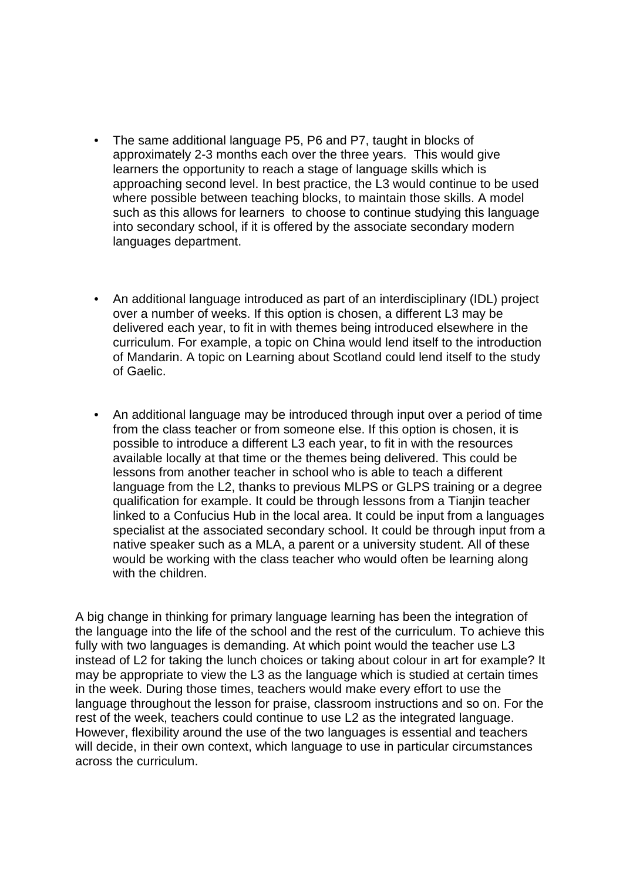- The same additional language P5, P6 and P7, taught in blocks of approximately 2-3 months each over the three years. This would give learners the opportunity to reach a stage of language skills which is approaching second level. In best practice, the L3 would continue to be used where possible between teaching blocks, to maintain those skills. A model such as this allows for learners to choose to continue studying this language into secondary school, if it is offered by the associate secondary modern languages department.
- An additional language introduced as part of an interdisciplinary (IDL) project over a number of weeks. If this option is chosen, a different L3 may be delivered each year, to fit in with themes being introduced elsewhere in the curriculum. For example, a topic on China would lend itself to the introduction of Mandarin. A topic on Learning about Scotland could lend itself to the study of Gaelic.
- An additional language may be introduced through input over a period of time from the class teacher or from someone else. If this option is chosen, it is possible to introduce a different L3 each year, to fit in with the resources available locally at that time or the themes being delivered. This could be lessons from another teacher in school who is able to teach a different language from the L2, thanks to previous MLPS or GLPS training or a degree qualification for example. It could be through lessons from a Tianjin teacher linked to a Confucius Hub in the local area. It could be input from a languages specialist at the associated secondary school. It could be through input from a native speaker such as a MLA, a parent or a university student. All of these would be working with the class teacher who would often be learning along with the children.

A big change in thinking for primary language learning has been the integration of the language into the life of the school and the rest of the curriculum. To achieve this fully with two languages is demanding. At which point would the teacher use L3 instead of L2 for taking the lunch choices or taking about colour in art for example? It may be appropriate to view the L3 as the language which is studied at certain times in the week. During those times, teachers would make every effort to use the language throughout the lesson for praise, classroom instructions and so on. For the rest of the week, teachers could continue to use L2 as the integrated language. However, flexibility around the use of the two languages is essential and teachers will decide, in their own context, which language to use in particular circumstances across the curriculum.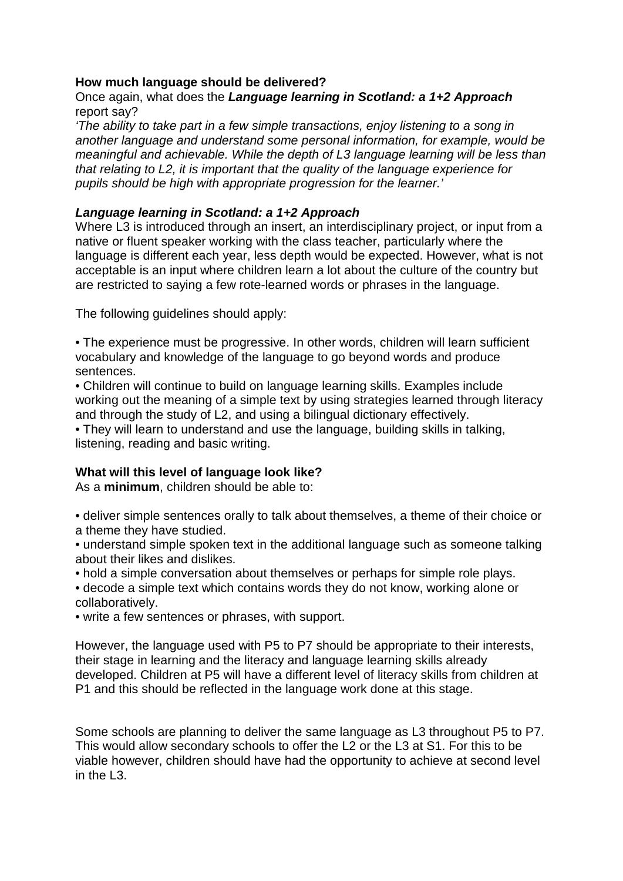### **How much language should be delivered?**

### Once again, what does the *Language learning in Scotland: a 1+2 Approach*  report say?

*'The ability to take part in a few simple transactions, enjoy listening to a song in another language and understand some personal information, for example, would be meaningful and achievable. While the depth of L3 language learning will be less than that relating to L2, it is important that the quality of the language experience for pupils should be high with appropriate progression for the learner.'* 

### *Language learning in Scotland: a 1+2 Approach*

Where L3 is introduced through an insert, an interdisciplinary project, or input from a native or fluent speaker working with the class teacher, particularly where the language is different each year, less depth would be expected. However, what is not acceptable is an input where children learn a lot about the culture of the country but are restricted to saying a few rote-learned words or phrases in the language.

The following guidelines should apply:

• The experience must be progressive. In other words, children will learn sufficient vocabulary and knowledge of the language to go beyond words and produce sentences.

• Children will continue to build on language learning skills. Examples include working out the meaning of a simple text by using strategies learned through literacy and through the study of L2, and using a bilingual dictionary effectively.

• They will learn to understand and use the language, building skills in talking, listening, reading and basic writing.

### **What will this level of language look like?**

As a **minimum**, children should be able to:

• deliver simple sentences orally to talk about themselves, a theme of their choice or a theme they have studied.

• understand simple spoken text in the additional language such as someone talking about their likes and dislikes.

• hold a simple conversation about themselves or perhaps for simple role plays. • decode a simple text which contains words they do not know, working alone or collaboratively.

• write a few sentences or phrases, with support.

However, the language used with P5 to P7 should be appropriate to their interests, their stage in learning and the literacy and language learning skills already developed. Children at P5 will have a different level of literacy skills from children at P1 and this should be reflected in the language work done at this stage.

Some schools are planning to deliver the same language as L3 throughout P5 to P7. This would allow secondary schools to offer the L2 or the L3 at S1. For this to be viable however, children should have had the opportunity to achieve at second level in the L3.